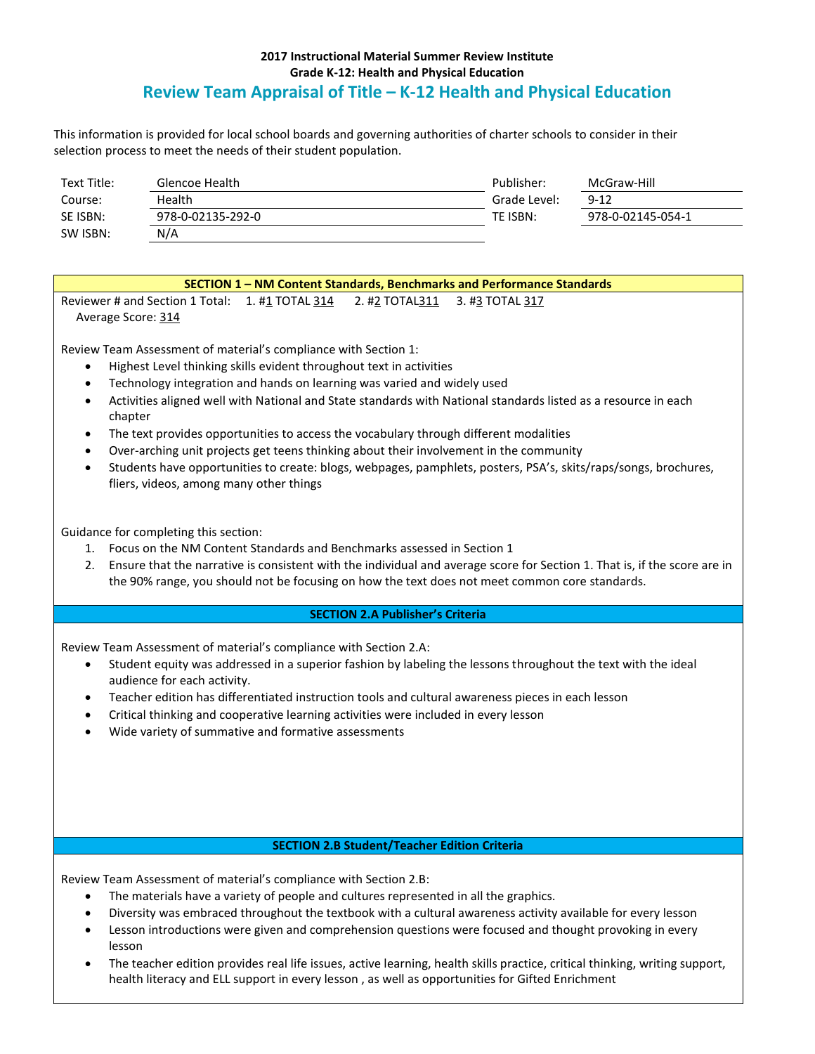## **2017 Instructional Material Summer Review Institute Grade K-12: Health and Physical Education Review Team Appraisal of Title – K-12 Health and Physical Education**

This information is provided for local school boards and governing authorities of charter schools to consider in their selection process to meet the needs of their student population.

| Text Title: | Glencoe Health    | Publisher:   | McGraw-Hill       |
|-------------|-------------------|--------------|-------------------|
| Course:     | Health            | Grade Level: | $9 - 12$          |
| SE ISBN:    | 978-0-02135-292-0 | TE ISBN:     | 978-0-02145-054-1 |
| SW ISBN:    | N/A               |              |                   |

# **SECTION 1 – NM Content Standards, Benchmarks and Performance Standards** Reviewer # and Section 1 Total:  $1. #1$  TOTAL  $314$   $2. #2$  TOTAL $311$   $3. #3$  TOTAL  $317$ Average Score: 314

Review Team Assessment of material's compliance with Section 1:

- Highest Level thinking skills evident throughout text in activities
- Technology integration and hands on learning was varied and widely used
- Activities aligned well with National and State standards with National standards listed as a resource in each chapter
- The text provides opportunities to access the vocabulary through different modalities
- Over-arching unit projects get teens thinking about their involvement in the community
- Students have opportunities to create: blogs, webpages, pamphlets, posters, PSA's, skits/raps/songs, brochures, fliers, videos, among many other things

Guidance for completing this section:

- 1. Focus on the NM Content Standards and Benchmarks assessed in Section 1
- 2. Ensure that the narrative is consistent with the individual and average score for Section 1. That is, if the score are in the 90% range, you should not be focusing on how the text does not meet common core standards.

### **SECTION 2.A Publisher's Criteria**

Review Team Assessment of material's compliance with Section 2.A:

- Student equity was addressed in a superior fashion by labeling the lessons throughout the text with the ideal audience for each activity.
- Teacher edition has differentiated instruction tools and cultural awareness pieces in each lesson
- Critical thinking and cooperative learning activities were included in every lesson
- Wide variety of summative and formative assessments

#### **SECTION 2.B Student/Teacher Edition Criteria**

Review Team Assessment of material's compliance with Section 2.B:

- The materials have a variety of people and cultures represented in all the graphics.
- Diversity was embraced throughout the textbook with a cultural awareness activity available for every lesson
- Lesson introductions were given and comprehension questions were focused and thought provoking in every lesson
- The teacher edition provides real life issues, active learning, health skills practice, critical thinking, writing support, health literacy and ELL support in every lesson , as well as opportunities for Gifted Enrichment